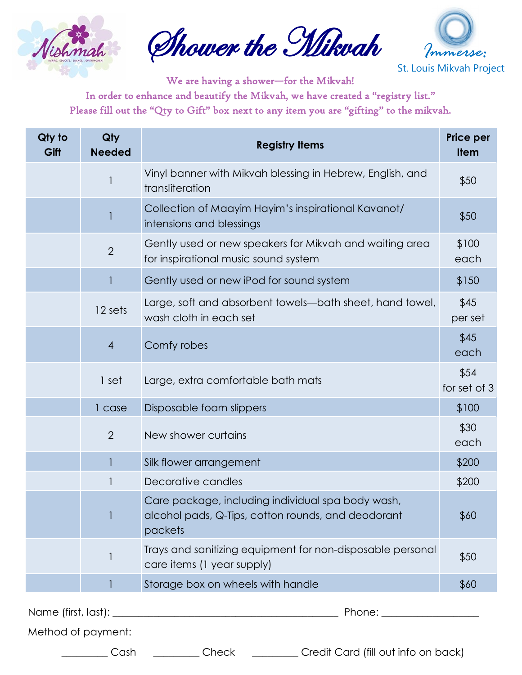

Shower the Mikvah



We are having a shower—for the Mikvah! In order to enhance and beautify the Mikvah, we have created a "registry list." Please fill out the "Qty to Gift" box next to any item you are "gifting" to the mikvah.

| Qty to<br>Gift | Qty<br><b>Needed</b> | <b>Registry Items</b>                                                                                              | <b>Price per</b><br><b>Item</b> |
|----------------|----------------------|--------------------------------------------------------------------------------------------------------------------|---------------------------------|
|                |                      | Vinyl banner with Mikvah blessing in Hebrew, English, and<br>transliteration                                       | \$50                            |
|                |                      | Collection of Maayim Hayim's inspirational Kavanot/<br>intensions and blessings                                    | \$50                            |
|                | $\overline{2}$       | Gently used or new speakers for Mikvah and waiting area<br>for inspirational music sound system                    | \$100<br>each                   |
|                |                      | Gently used or new iPod for sound system                                                                           | \$150                           |
|                | 12 sets              | Large, soft and absorbent towels—bath sheet, hand towel,<br>wash cloth in each set                                 | \$45<br>per set                 |
|                | $\overline{4}$       | Comfy robes                                                                                                        | \$45<br>each                    |
|                | 1 set                | Large, extra comfortable bath mats                                                                                 | \$54<br>for set of 3            |
|                | 1 case               | Disposable foam slippers                                                                                           | \$100                           |
|                | $\overline{2}$       | New shower curtains                                                                                                | \$30<br>each                    |
|                |                      | Silk flower arrangement                                                                                            | \$200                           |
|                |                      | Decorative candles                                                                                                 | \$200                           |
|                |                      | Care package, including individual spa body wash,<br>alcohol pads, Q-Tips, cotton rounds, and deodorant<br>packets | \$60                            |
|                |                      | Trays and sanitizing equipment for non-disposable personal<br>care items (1 year supply)                           | \$50                            |
|                |                      | Storage box on wheels with handle                                                                                  | \$60                            |
|                |                      |                                                                                                                    |                                 |

Method of payment:

Cash \_\_\_\_\_\_\_\_ Check \_\_\_\_\_\_\_ Credit Card (fill out info on back)